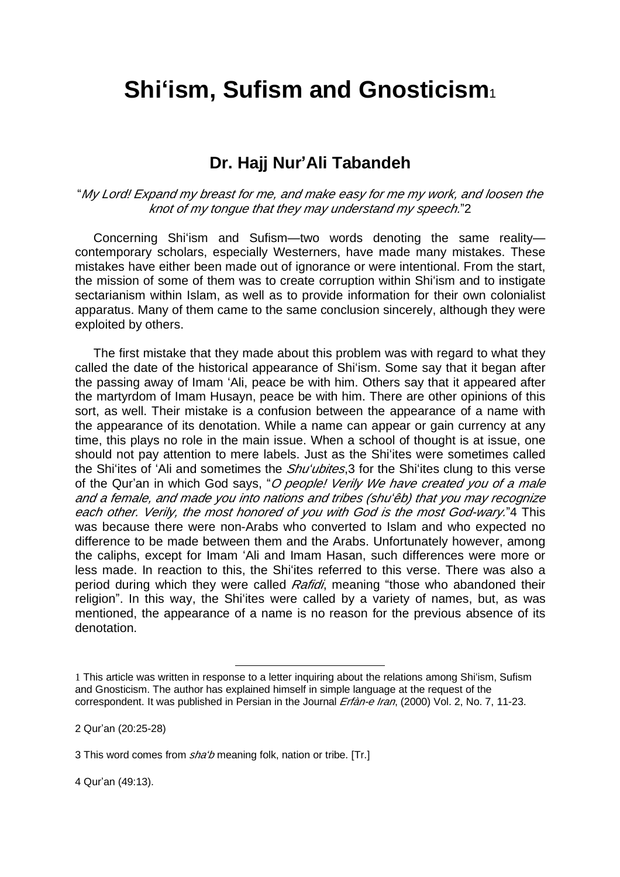## **Shi'ism, Sufism and Gnosticism**<sup>1</sup>

## **Dr. Hajj Nur'Ali Tabandeh**

"*My Lord! Expand my breast for me, and make easy for me my work, and loosen the knot of my tongue that they may understand my speech.*"2

Concerning Shi'ism and Sufism—two words denoting the same reality contemporary scholars, especially Westerners, have made many mistakes. These mistakes have either been made out of ignorance or were intentional. From the start, the mission of some of them was to create corruption within Shi'ism and to instigate sectarianism within Islam, as well as to provide information for their own colonialist apparatus. Many of them came to the same conclusion sincerely, although they were exploited by others.

The first mistake that they made about this problem was with regard to what they called the date of the historical appearance of Shi'ism. Some say that it began after the passing away of Imam 'Ali, peace be with him. Others say that it appeared after the martyrdom of Imam Husayn, peace be with him. There are other opinions of this sort, as well. Their mistake is a confusion between the appearance of a name with the appearance of its denotation. While a name can appear or gain currency at any time, this plays no role in the main issue. When a school of thought is at issue, one should not pay attention to mere labels. Just as the Shi'ites were sometimes called the Shi'ites of 'Ali and sometimes the *Shu'ubites*,3 for the Shi'ites clung to this verse of the Qur'an in which God says, "*O people! Verily We have created you of <sup>a</sup> male and <sup>a</sup> female, and made you into nations and tribes (shu'êb) that you may recognize each other. Verily, the most honored of you with God is the most God-wary.*"4 This was because there were non-Arabs who converted to Islam and who expected no difference to be made between them and the Arabs. Unfortunately however, among the caliphs, except for Imam 'Ali and Imam Hasan, such differences were more or less made. In reaction to this, the Shi'ites referred to this verse. There was also a period during which they were called *Rafidi*, meaning "those who abandoned their religion". In this way, the Shi'ites were called by a variety of names, but, as was mentioned, the appearance of a name is no reason for the previous absence of its denotation.

2 Qur'an (20:25-28)

l

4 Qur'an (49:13).

<sup>1</sup> This article was written in response to a letter inquiring about the relations among Shi'ism, Sufism and Gnosticism. The author has explained himself in simple language at the request of the correspondent. It was published in Persian in the Journal *Erfàn-e Iran*, (2000) Vol. 2, No. 7, 11-23.

<sup>3</sup> This word comes from *sha'b* meaning folk, nation or tribe. [Tr.]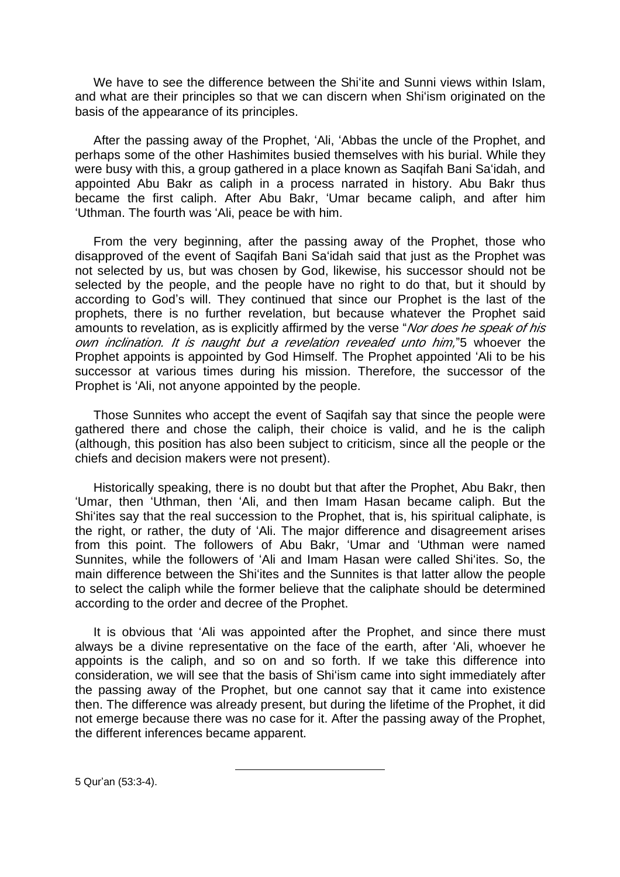We have to see the difference between the Shi'ite and Sunni views within Islam, and what are their principles so that we can discern when Shi'ism originated on the basis of the appearance of its principles.

After the passing away of the Prophet, 'Ali, 'Abbas the uncle of the Prophet, and perhaps some of the other Hashimites busied themselves with his burial. While they were busy with this, a group gathered in a place known as Saqifah Bani Sa'idah, and appointed Abu Bakr as caliph in a process narrated in history. Abu Bakr thus became the first caliph. After Abu Bakr, 'Umar became caliph, and after him 'Uthman. The fourth was 'Ali, peace be with him.

From the very beginning, after the passing away of the Prophet, those who disapproved of the event of Saqifah Bani Sa'idah said that just as the Prophet was not selected by us, but was chosen by God, likewise, his successor should not be selected by the people, and the people have no right to do that, but it should by according to God's will. They continued that since our Prophet is the last of the prophets, there is no further revelation, but because whatever the Prophet said amounts to revelation, as is explicitly affirmed by the verse "*Nor does he speak of his own inclination. It is naught but <sup>a</sup> revelation revealed unto him,*"5 whoever the Prophet appoints is appointed by God Himself. The Prophet appointed 'Ali to be his successor at various times during his mission. Therefore, the successor of the Prophet is 'Ali, not anyone appointed by the people.

Those Sunnites who accept the event of Saqifah say that since the people were gathered there and chose the caliph, their choice is valid, and he is the caliph (although, this position has also been subject to criticism, since all the people or the chiefs and decision makers were not present).

Historically speaking, there is no doubt but that after the Prophet, Abu Bakr, then 'Umar, then 'Uthman, then 'Ali, and then Imam Hasan became caliph. But the Shi'ites say that the real succession to the Prophet, that is, his spiritual caliphate, is the right, or rather, the duty of 'Ali. The major difference and disagreement arises from this point. The followers of Abu Bakr, 'Umar and 'Uthman were named Sunnites, while the followers of 'Ali and Imam Hasan were called Shi'ites. So, the main difference between the Shi'ites and the Sunnites is that latter allow the people to select the caliph while the former believe that the caliphate should be determined according to the order and decree of the Prophet.

It is obvious that 'Ali was appointed after the Prophet, and since there must always be a divine representative on the face of the earth, after 'Ali, whoever he appoints is the caliph, and so on and so forth. If we take this difference into consideration, we will see that the basis of Shi'ism came into sight immediately after the passing away of the Prophet, but one cannot say that it came into existence then. The difference was already present, but during the lifetime of the Prophet, it did not emerge because there was no case for it. After the passing away of the Prophet, the different inferences became apparent.

 $\overline{a}$ 

5 Qur'an (53:3-4).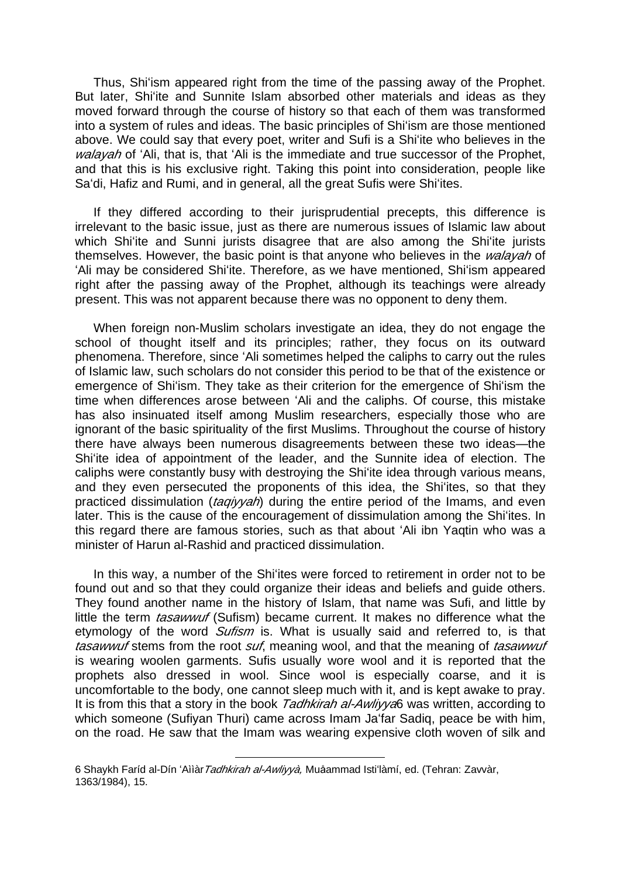Thus, Shi'ism appeared right from the time of the passing away of the Prophet. But later, Shi'ite and Sunnite Islam absorbed other materials and ideas as they moved forward through the course of history so that each of them was transformed into a system of rules and ideas. The basic principles of Shi'ism are those mentioned above. We could say that every poet, writer and Sufi is a Shi'ite who believes in the *walayah* of 'Ali, that is, that 'Ali is the immediate and true successor of the Prophet, and that this is his exclusive right. Taking this point into consideration, people like Sa'di, Hafiz and Rumi, and in general, all the great Sufis were Shi'ites.

If they differed according to their jurisprudential precepts, this difference is irrelevant to the basic issue, just as there are numerous issues of Islamic law about which Shi'ite and Sunni jurists disagree that are also among the Shi'ite jurists themselves. However, the basic point is that anyone who believes in the *walayah* of 'Ali may be considered Shi'ite. Therefore, as we have mentioned, Shi'ism appeared right after the passing away of the Prophet, although its teachings were already present. This was not apparent because there was no opponent to deny them.

When foreign non-Muslim scholars investigate an idea, they do not engage the school of thought itself and its principles; rather, they focus on its outward phenomena. Therefore, since 'Ali sometimes helped the caliphs to carry out the rules of Islamic law, such scholars do not consider this period to be that of the existence or emergence of Shi'ism. They take as their criterion for the emergence of Shi'ism the time when differences arose between 'Ali and the caliphs. Of course, this mistake has also insinuated itself among Muslim researchers, especially those who are ignorant of the basic spirituality of the first Muslims. Throughout the course of history there have always been numerous disagreements between these two ideas—the Shi'ite idea of appointment of the leader, and the Sunnite idea of election. The caliphs were constantly busy with destroying the Shi'ite idea through various means, and they even persecuted the proponents of this idea, the Shi'ites, so that they practiced dissimulation (*taqiyyah*) during the entire period of the Imams, and even later. This is the cause of the encouragement of dissimulation among the Shi'ites. In this regard there are famous stories, such as that about 'Ali ibn Yaqtin who was a minister of Harun al-Rashid and practiced dissimulation.

In this way, a number of the Shi'ites were forced to retirement in order not to be found out and so that they could organize their ideas and beliefs and guide others. They found another name in the history of Islam, that name was Sufi, and little by little the term *tasawwuf* (Sufism) became current. It makes no difference what the etymology of the word *Sufism* is. What is usually said and referred to, is that *tasawwuf* stems from the root *suf*, meaning wool, and that the meaning of *tasawwuf*  is wearing woolen garments. Sufis usually wore wool and it is reported that the prophets also dressed in wool. Since wool is especially coarse, and it is uncomfortable to the body, one cannot sleep much with it, and is kept awake to pray. It is from this that a story in the book *Tadhkirah al-Awliyya*6 was written, according to which someone (Sufiyan Thuri) came across Imam Ja'far Sadiq, peace be with him, on the road. He saw that the Imam was wearing expensive cloth woven of silk and

l

<sup>6</sup> Shaykh Faríd al-Dín 'Aììàr*Tadhkirah al-Awliyyà,* Muåammad Isti'làmí, ed. (Tehran: Zavvàr, 1363/1984), 15.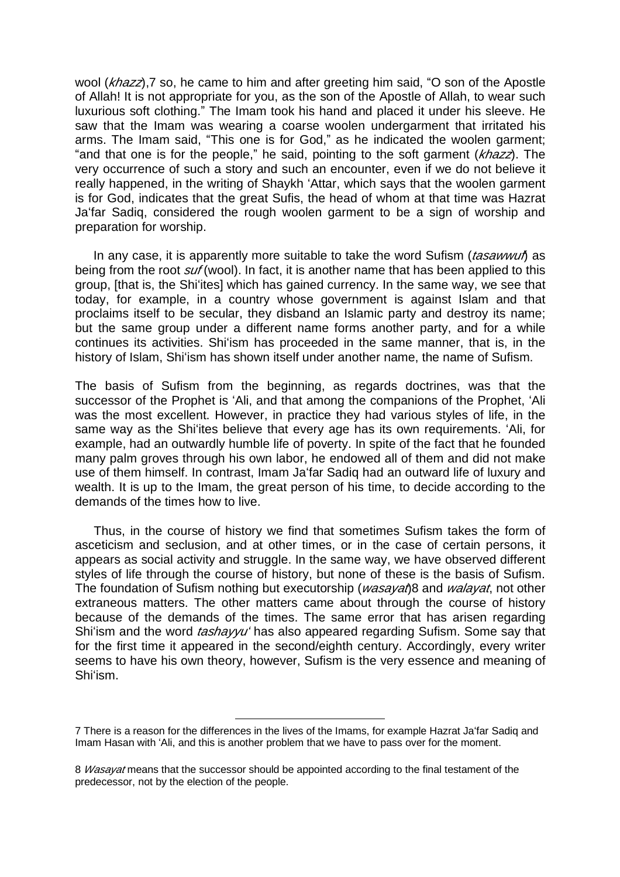wool (*khazz*),7 so, he came to him and after greeting him said, "O son of the Apostle of Allah! It is not appropriate for you, as the son of the Apostle of Allah, to wear such luxurious soft clothing." The Imam took his hand and placed it under his sleeve. He saw that the Imam was wearing a coarse woolen undergarment that irritated his arms. The Imam said, "This one is for God," as he indicated the woolen garment; "and that one is for the people," he said, pointing to the soft garment (*khazz*). The very occurrence of such a story and such an encounter, even if we do not believe it really happened, in the writing of Shaykh 'Attar, which says that the woolen garment is for God, indicates that the great Sufis, the head of whom at that time was Hazrat Ja'far Sadiq, considered the rough woolen garment to be a sign of worship and preparation for worship.

In any case, it is apparently more suitable to take the word Sufism (*tasawwuf*) as being from the root *suf* (wool). In fact, it is another name that has been applied to this group, [that is, the Shi'ites] which has gained currency. In the same way, we see that today, for example, in a country whose government is against Islam and that proclaims itself to be secular, they disband an Islamic party and destroy its name; but the same group under a different name forms another party, and for a while continues its activities. Shi'ism has proceeded in the same manner, that is, in the history of Islam, Shi'ism has shown itself under another name, the name of Sufism.

The basis of Sufism from the beginning, as regards doctrines, was that the successor of the Prophet is 'Ali, and that among the companions of the Prophet, 'Ali was the most excellent. However, in practice they had various styles of life, in the same way as the Shi'ites believe that every age has its own requirements. 'Ali, for example, had an outwardly humble life of poverty. In spite of the fact that he founded many palm groves through his own labor, he endowed all of them and did not make use of them himself. In contrast, Imam Ja'far Sadiq had an outward life of luxury and wealth. It is up to the Imam, the great person of his time, to decide according to the demands of the times how to live.

Thus, in the course of history we find that sometimes Sufism takes the form of asceticism and seclusion, and at other times, or in the case of certain persons, it appears as social activity and struggle. In the same way, we have observed different styles of life through the course of history, but none of these is the basis of Sufism. The foundation of Sufism nothing but executorship (*wasayat*)8 and *walayat*, not other extraneous matters. The other matters came about through the course of history because of the demands of the times. The same error that has arisen regarding Shi'ism and the word *tashayyu'* has also appeared regarding Sufism. Some say that for the first time it appeared in the second/eighth century. Accordingly, every writer seems to have his own theory, however, Sufism is the very essence and meaning of Shi'ism.

 $\overline{a}$ 

<sup>7</sup> There is a reason for the differences in the lives of the Imams, for example Hazrat Ja'far Sadiq and Imam Hasan with 'Ali, and this is another problem that we have to pass over for the moment.

<sup>8</sup> *Wasayat* means that the successor should be appointed according to the final testament of the predecessor, not by the election of the people.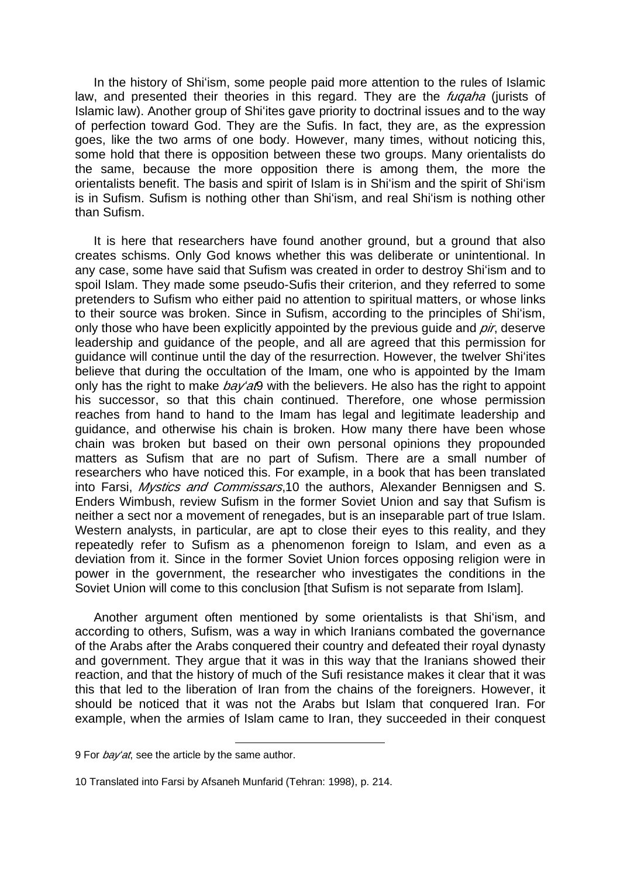In the history of Shi'ism, some people paid more attention to the rules of Islamic law, and presented their theories in this regard. They are the *fuqaha* (jurists of Islamic law). Another group of Shi'ites gave priority to doctrinal issues and to the way of perfection toward God. They are the Sufis. In fact, they are, as the expression goes, like the two arms of one body. However, many times, without noticing this, some hold that there is opposition between these two groups. Many orientalists do the same, because the more opposition there is among them, the more the orientalists benefit. The basis and spirit of Islam is in Shi'ism and the spirit of Shi'ism is in Sufism. Sufism is nothing other than Shi'ism, and real Shi'ism is nothing other than Sufism.

It is here that researchers have found another ground, but a ground that also creates schisms. Only God knows whether this was deliberate or unintentional. In any case, some have said that Sufism was created in order to destroy Shi'ism and to spoil Islam. They made some pseudo-Sufis their criterion, and they referred to some pretenders to Sufism who either paid no attention to spiritual matters, or whose links to their source was broken. Since in Sufism, according to the principles of Shi'ism, only those who have been explicitly appointed by the previous guide and *pir*, deserve leadership and guidance of the people, and all are agreed that this permission for guidance will continue until the day of the resurrection. However, the twelver Shi'ites believe that during the occultation of the Imam, one who is appointed by the Imam only has the right to make *bay'at*9 with the believers. He also has the right to appoint his successor, so that this chain continued. Therefore, one whose permission reaches from hand to hand to the Imam has legal and legitimate leadership and guidance, and otherwise his chain is broken. How many there have been whose chain was broken but based on their own personal opinions they propounded matters as Sufism that are no part of Sufism. There are a small number of researchers who have noticed this. For example, in a book that has been translated into Farsi, *Mystics and Commissars*,10 the authors, Alexander Bennigsen and S. Enders Wimbush, review Sufism in the former Soviet Union and say that Sufism is neither a sect nor a movement of renegades, but is an inseparable part of true Islam. Western analysts, in particular, are apt to close their eyes to this reality, and they repeatedly refer to Sufism as a phenomenon foreign to Islam, and even as a deviation from it. Since in the former Soviet Union forces opposing religion were in power in the government, the researcher who investigates the conditions in the Soviet Union will come to this conclusion [that Sufism is not separate from Islam].

Another argument often mentioned by some orientalists is that Shi'ism, and according to others, Sufism, was a way in which Iranians combated the governance of the Arabs after the Arabs conquered their country and defeated their royal dynasty and government. They argue that it was in this way that the Iranians showed their reaction, and that the history of much of the Sufi resistance makes it clear that it was this that led to the liberation of Iran from the chains of the foreigners. However, it should be noticed that it was not the Arabs but Islam that conquered Iran. For example, when the armies of Islam came to Iran, they succeeded in their conquest

l

<sup>9</sup> For *bay'at*, see the article by the same author.

<sup>10</sup> Translated into Farsi by Afsaneh Munfarid (Tehran: 1998), p. 214.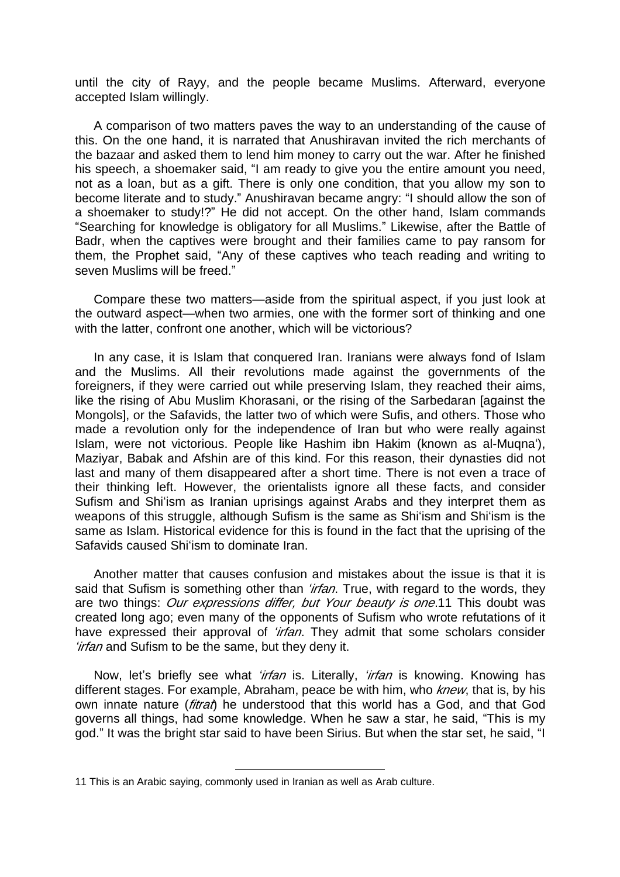until the city of Rayy, and the people became Muslims. Afterward, everyone accepted Islam willingly.

A comparison of two matters paves the way to an understanding of the cause of this. On the one hand, it is narrated that Anushiravan invited the rich merchants of the bazaar and asked them to lend him money to carry out the war. After he finished his speech, a shoemaker said, "I am ready to give you the entire amount you need, not as a loan, but as a gift. There is only one condition, that you allow my son to become literate and to study." Anushiravan became angry: "I should allow the son of a shoemaker to study!?" He did not accept. On the other hand, Islam commands "Searching for knowledge is obligatory for all Muslims." Likewise, after the Battle of Badr, when the captives were brought and their families came to pay ransom for them, the Prophet said, "Any of these captives who teach reading and writing to seven Muslims will be freed."

Compare these two matters—aside from the spiritual aspect, if you just look at the outward aspect—when two armies, one with the former sort of thinking and one with the latter, confront one another, which will be victorious?

In any case, it is Islam that conquered Iran. Iranians were always fond of Islam and the Muslims. All their revolutions made against the governments of the foreigners, if they were carried out while preserving Islam, they reached their aims, like the rising of Abu Muslim Khorasani, or the rising of the Sarbedaran [against the Mongols], or the Safavids, the latter two of which were Sufis, and others. Those who made a revolution only for the independence of Iran but who were really against Islam, were not victorious. People like Hashim ibn Hakim (known as al-Muqna'), Maziyar, Babak and Afshin are of this kind. For this reason, their dynasties did not last and many of them disappeared after a short time. There is not even a trace of their thinking left. However, the orientalists ignore all these facts, and consider Sufism and Shi'ism as Iranian uprisings against Arabs and they interpret them as weapons of this struggle, although Sufism is the same as Shi'ism and Shi'ism is the same as Islam. Historical evidence for this is found in the fact that the uprising of the Safavids caused Shi'ism to dominate Iran.

Another matter that causes confusion and mistakes about the issue is that it is said that Sufism is something other than *'irfan*. True, with regard to the words, they are two things: *Our expressions differ, but Your beauty is one*.11 This doubt was created long ago; even many of the opponents of Sufism who wrote refutations of it have expressed their approval of *'irfan*. They admit that some scholars consider *'irfan* and Sufism to be the same, but they deny it.

Now, let's briefly see what *'irfan* is. Literally, *'irfan* is knowing. Knowing has different stages. For example, Abraham, peace be with him, who *knew*, that is, by his own innate nature (*fitrat*) he understood that this world has a God, and that God governs all things, had some knowledge. When he saw a star, he said, "This is my god." It was the bright star said to have been Sirius. But when the star set, he said, "I

 $\overline{a}$ 

<sup>11</sup> This is an Arabic saying, commonly used in Iranian as well as Arab culture.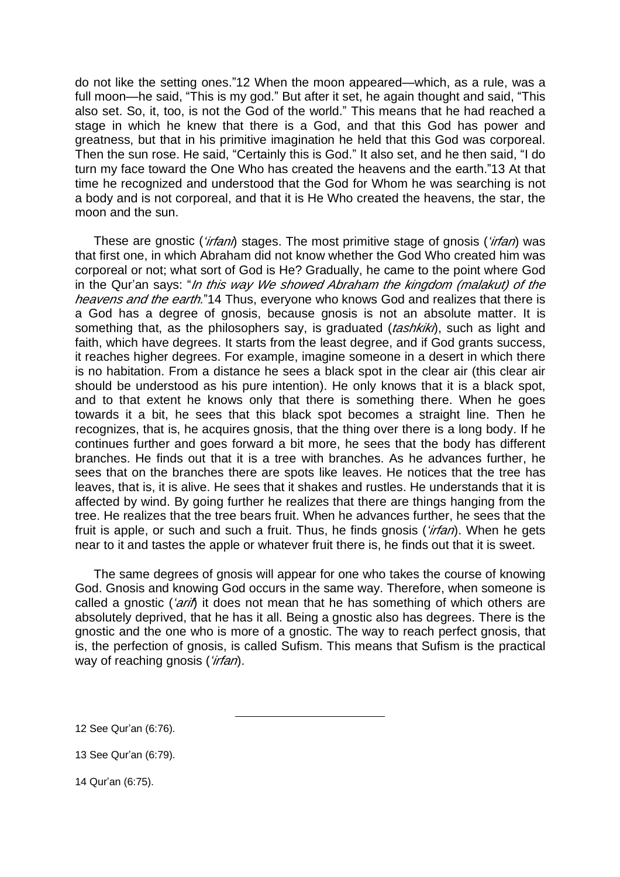do not like the setting ones."12 When the moon appeared—which, as a rule, was a full moon—he said, "This is my god." But after it set, he again thought and said, "This also set. So, it, too, is not the God of the world." This means that he had reached a stage in which he knew that there is a God, and that this God has power and greatness, but that in his primitive imagination he held that this God was corporeal. Then the sun rose. He said, "Certainly this is God." It also set, and he then said, "I do turn my face toward the One Who has created the heavens and the earth."13 At that time he recognized and understood that the God for Whom he was searching is not a body and is not corporeal, and that it is He Who created the heavens, the star, the moon and the sun.

These are gnostic (*'irfani*) stages. The most primitive stage of gnosis (*'irfan*) was that first one, in which Abraham did not know whether the God Who created him was corporeal or not; what sort of God is He? Gradually, he came to the point where God in the Qur'an says: "*In this way We showed Abraham the kingdom (malakut) of the heavens and the earth.*"14 Thus, everyone who knows God and realizes that there is a God has a degree of gnosis, because gnosis is not an absolute matter. It is something that, as the philosophers say, is graduated (*tashkiki*), such as light and faith, which have degrees. It starts from the least degree, and if God grants success, it reaches higher degrees. For example, imagine someone in a desert in which there is no habitation. From a distance he sees a black spot in the clear air (this clear air should be understood as his pure intention). He only knows that it is a black spot, and to that extent he knows only that there is something there. When he goes towards it a bit, he sees that this black spot becomes a straight line. Then he recognizes, that is, he acquires gnosis, that the thing over there is a long body. If he continues further and goes forward a bit more, he sees that the body has different branches. He finds out that it is a tree with branches. As he advances further, he sees that on the branches there are spots like leaves. He notices that the tree has leaves, that is, it is alive. He sees that it shakes and rustles. He understands that it is affected by wind. By going further he realizes that there are things hanging from the tree. He realizes that the tree bears fruit. When he advances further, he sees that the fruit is apple, or such and such a fruit. Thus, he finds gnosis (*'irfan*). When he gets near to it and tastes the apple or whatever fruit there is, he finds out that it is sweet.

The same degrees of gnosis will appear for one who takes the course of knowing God. Gnosis and knowing God occurs in the same way. Therefore, when someone is called a gnostic (*'arif*) it does not mean that he has something of which others are absolutely deprived, that he has it all. Being a gnostic also has degrees. There is the gnostic and the one who is more of a gnostic. The way to reach perfect gnosis, that is, the perfection of gnosis, is called Sufism. This means that Sufism is the practical way of reaching gnosis (*'irfan*).

l

14 Qur'an (6:75).

<sup>12</sup> See Qur'an (6:76).

<sup>13</sup> See Qur'an (6:79).